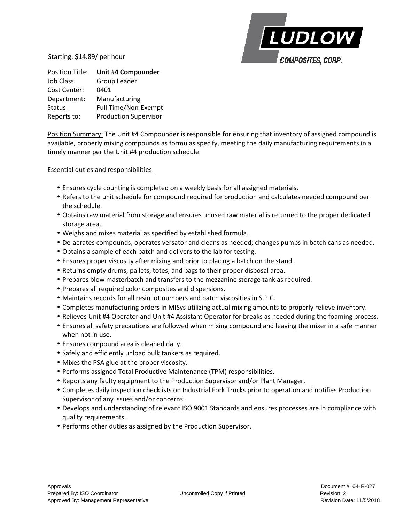LUDLOW **COMPOSITES, CORP.** 

Starting: \$14.89/ per hour

| <b>Position Title:</b> | Unit #4 Compounder           |
|------------------------|------------------------------|
| Job Class:             | <b>Group Leader</b>          |
| Cost Center:           | 0401                         |
| Department:            | Manufacturing                |
| Status:                | Full Time/Non-Exempt         |
| Reports to:            | <b>Production Supervisor</b> |

Position Summary: The Unit #4 Compounder is responsible for ensuring that inventory of assigned compound is available, properly mixing compounds as formulas specify, meeting the daily manufacturing requirements in a timely manner per the Unit #4 production schedule.

## Essential duties and responsibilities:

- Ensures cycle counting is completed on a weekly basis for all assigned materials.
- Refers to the unit schedule for compound required for production and calculates needed compound per the schedule.
- Obtains raw material from storage and ensures unused raw material is returned to the proper dedicated storage area.
- Weighs and mixes material as specified by established formula.
- De-aerates compounds, operates versator and cleans as needed; changes pumps in batch cans as needed.
- Obtains a sample of each batch and delivers to the lab for testing.
- Ensures proper viscosity after mixing and prior to placing a batch on the stand.
- Returns empty drums, pallets, totes, and bags to their proper disposal area.
- Prepares blow masterbatch and transfers to the mezzanine storage tank as required.
- Prepares all required color composites and dispersions.
- Maintains records for all resin lot numbers and batch viscosities in S.P.C.
- Completes manufacturing orders in MISys utilizing actual mixing amounts to properly relieve inventory.
- Relieves Unit #4 Operator and Unit #4 Assistant Operator for breaks as needed during the foaming process.
- Ensures all safety precautions are followed when mixing compound and leaving the mixer in a safe manner when not in use.
- Ensures compound area is cleaned daily.
- Safely and efficiently unload bulk tankers as required.
- Mixes the PSA glue at the proper viscosity.
- Performs assigned Total Productive Maintenance (TPM) responsibilities.
- Reports any faulty equipment to the Production Supervisor and/or Plant Manager.
- Completes daily inspection checklists on Industrial Fork Trucks prior to operation and notifies Production Supervisor of any issues and/or concerns.
- Develops and understanding of relevant ISO 9001 Standards and ensures processes are in compliance with quality requirements.
- Performs other duties as assigned by the Production Supervisor.